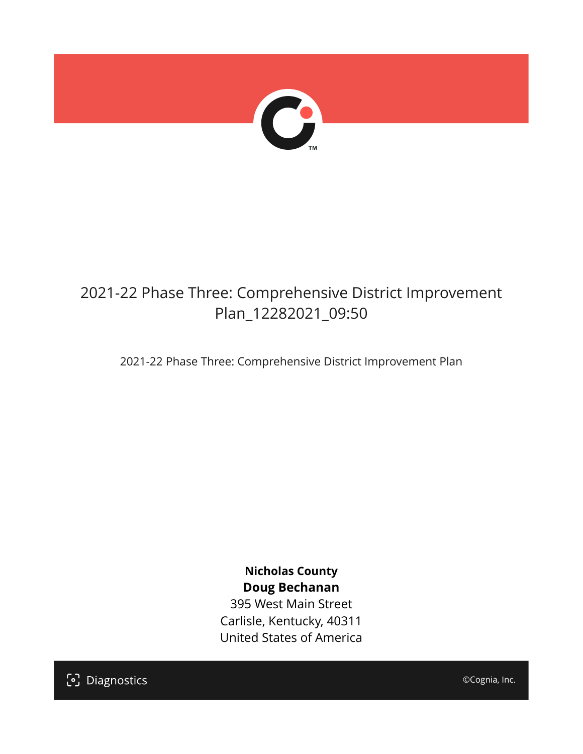

# 2021-22 Phase Three: Comprehensive District Improvement Plan\_12282021\_09:50

2021-22 Phase Three: Comprehensive District Improvement Plan

**Nicholas County Doug Bechanan**

395 West Main Street Carlisle, Kentucky, 40311 United States of America

[၁] Diagnostics

©Cognia, Inc.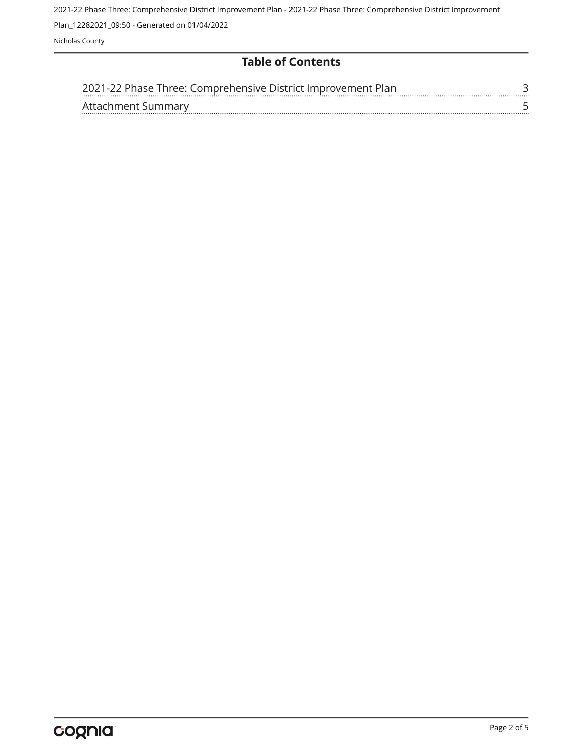2021-22 Phase Three: Comprehensive District Improvement Plan - 2021-22 Phase Three: Comprehensive District Improvement

Plan\_12282021\_09:50 - Generated on 01/04/2022

Nicholas County

#### **Table of Contents**

| 2021-22 Phase Three: Comprehensive District Improvement Plan |  |
|--------------------------------------------------------------|--|
| Affachment Summary                                           |  |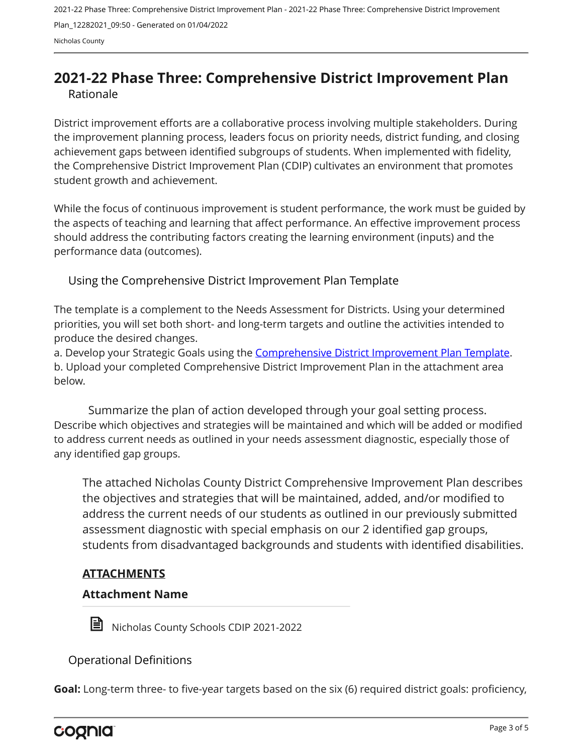## <span id="page-2-0"></span>**2021-22 Phase Three: Comprehensive District Improvement Plan** Rationale

District improvement efforts are a collaborative process involving multiple stakeholders. During the improvement planning process, leaders focus on priority needs, district funding, and closing achievement gaps between identified subgroups of students. When implemented with fidelity, the Comprehensive District Improvement Plan (CDIP) cultivates an environment that promotes student growth and achievement.

While the focus of continuous improvement is student performance, the work must be guided by the aspects of teaching and learning that affect performance. An effective improvement process should address the contributing factors creating the learning environment (inputs) and the performance data (outcomes).

Using the Comprehensive District Improvement Plan Template

The template is a complement to the Needs Assessment for Districts. Using your determined priorities, you will set both short- and long-term targets and outline the activities intended to produce the desired changes.

a. Develop your Strategic Goals using the [Comprehensive District Improvement Plan Template](https://education.ky.gov/school/csip/Documents/kde comprehensive improvement plan for district.docx). b. Upload your completed Comprehensive District Improvement Plan in the attachment area below.

Describe which objectives and strategies will be maintained and which will be added or modified to address current needs as outlined in your needs assessment diagnostic, especially those of any identified gap groups. Summarize the plan of action developed through your goal setting process.

The attached Nicholas County District Comprehensive Improvement Plan describes the objectives and strategies that will be maintained, added, and/or modified to address the current needs of our students as outlined in our previously submitted assessment diagnostic with special emphasis on our 2 identified gap groups, students from disadvantaged backgrounds and students with identified disabilities.

### **ATTACHMENTS**

#### **Attachment Name**



Nicholas County Schools CDIP 2021-2022

Operational Definitions

**Goal:** Long-term three- to five-year targets based on the six (6) required district goals: proficiency,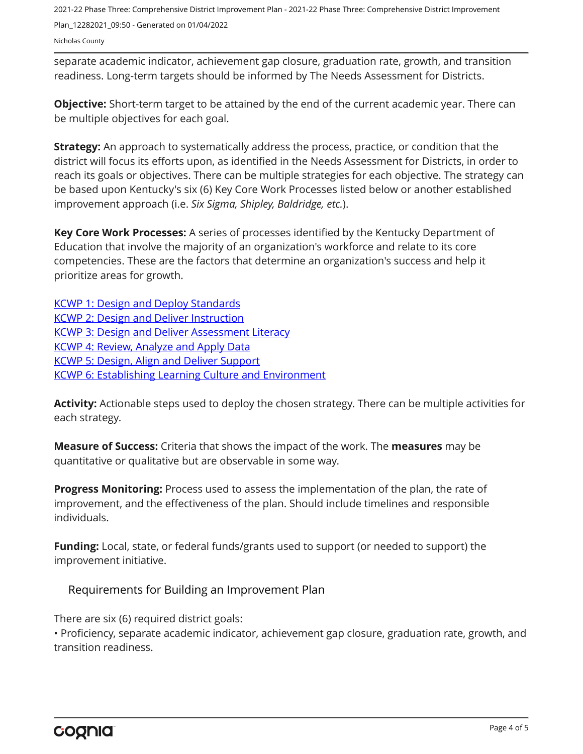2021-22 Phase Three: Comprehensive District Improvement Plan - 2021-22 Phase Three: Comprehensive District Improvement Plan\_12282021\_09:50 - Generated on 01/04/2022 Nicholas County

separate academic indicator, achievement gap closure, graduation rate, growth, and transition readiness. Long-term targets should be informed by The Needs Assessment for Districts.

**Objective:** Short-term target to be attained by the end of the current academic year. There can be multiple objectives for each goal.

**Strategy:** An approach to systematically address the process, practice, or condition that the district will focus its efforts upon, as identified in the Needs Assessment for Districts, in order to reach its goals or objectives. There can be multiple strategies for each objective. The strategy can be based upon Kentucky's six (6) Key Core Work Processes listed below or another established improvement approach (i.e. *Six Sigma, Shipley, Baldridge, etc.*).

**Key Core Work Processes:** A series of processes identified by the Kentucky Department of Education that involve the majority of an organization's workforce and relate to its core competencies. These are the factors that determine an organization's success and help it prioritize areas for growth.

[KCWP 1: Design and Deploy Standards](https://education.ky.gov/school/csip/Documents/KCWP%201%20Strategic%20Design%20and%20Deploy%20Standards.pdf) [KCWP 2: Design and Deliver Instruction](https://education.ky.gov/school/csip/Documents/KCWP%202%20Strategic%20Design%20and%20Deliver%20Instruction.pdf) [KCWP 3: Design and Deliver Assessment Literacy](https://education.ky.gov/school/csip/Documents/KCWP%203%20Strategic%20Design%20and%20Deliver%20Assessment%20Literacy.pdf) [KCWP 4: Review, Analyze and Apply Data](https://education.ky.gov/school/csip/Documents/KCWP%204%20Strategic%20Review%20Analyze%20and%20Apply%20Data.pdf) [KCWP 5: Design, Align and Deliver Support](https://education.ky.gov/school/csip/Documents/KCWP%205%20Strategic%20Design%20Align%20Deliver%20Support%20Processes.pdf) [KCWP 6: Establishing Learning Culture and Environment](https://education.ky.gov/school/csip/Documents/KCWP%206%20Strategic%20Establish%20Learning%20Culture%20and%20Environment.pdf)

**Activity:** Actionable steps used to deploy the chosen strategy. There can be multiple activities for each strategy.

**Measure of Success:** Criteria that shows the impact of the work. The **measures** may be quantitative or qualitative but are observable in some way.

**Progress Monitoring:** Process used to assess the implementation of the plan, the rate of improvement, and the effectiveness of the plan. Should include timelines and responsible individuals.

**Funding:** Local, state, or federal funds/grants used to support (or needed to support) the improvement initiative.

Requirements for Building an Improvement Plan

There are six (6) required district goals:

• Proficiency, separate academic indicator, achievement gap closure, graduation rate, growth, and transition readiness.